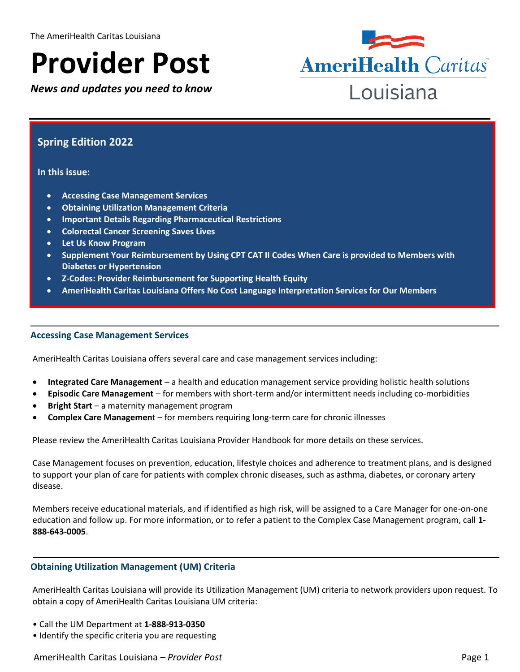# **Provider Post**

*News and updates you need to know*



# **Spring Edition 2022**

#### **In this issue:**

- **Accessing Case Management Services**
- **Obtaining Utilization Management Criteria**
- **Important Details Regarding Pharmaceutical Restrictions**
- **Colorectal Cancer Screening Saves Lives**
- **Let Us Know Program**
- **Supplement Your Reimbursement by Using CPT CAT II Codes When Care is provided to Members with Diabetes or Hypertension**
- **Z-Codes: Provider Reimbursement for Supporting Health Equity**
- **AmeriHealth Caritas Louisiana Offers No Cost Language Interpretation Services for Our Members**

#### **Accessing Case Management Services**

AmeriHealth Caritas Louisiana offers several care and case management services including:

- **Integrated Care Management** a health and education management service providing holistic health solutions
- **Episodic Care Management** for members with short-term and/or intermittent needs including co-morbidities
- **Bright Start** a maternity management program
- **Complex Care Managemen**t for members requiring long-term care for chronic illnesses

Please review the AmeriHealth Caritas Louisiana Provider Handbook for more details on these services.

Case Management focuses on prevention, education, lifestyle choices and adherence to treatment plans, and is designed to support your plan of care for patients with complex chronic diseases, such as asthma, diabetes, or coronary artery disease.

Members receive educational materials, and if identified as high risk, will be assigned to a Care Manager for one-on-one education and follow up. For more information, or to refer a patient to the Complex Case Management program, call **1- 888-643-0005**.

#### **Obtaining Utilization Management (UM) Criteria**

AmeriHealth Caritas Louisiana will provide its Utilization Management (UM) criteria to network providers upon request. To obtain a copy of AmeriHealth Caritas Louisiana UM criteria:

- Call the UM Department at **1-888-913-0350**
- Identify the specific criteria you are requesting

AmeriHealth Caritas Louisiana – *Provider Post* Page 1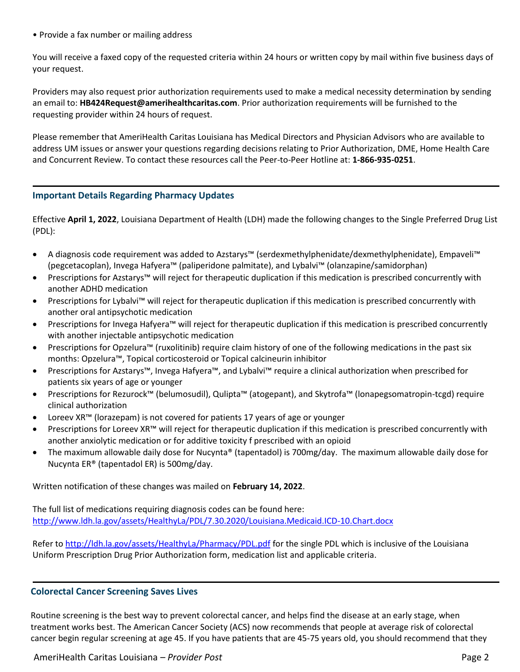• Provide a fax number or mailing address

You will receive a faxed copy of the requested criteria within 24 hours or written copy by mail within five business days of your request.

Providers may also request prior authorization requirements used to make a medical necessity determination by sending an email to: **HB424Request@amerihealthcaritas.com**. Prior authorization requirements will be furnished to the requesting provider within 24 hours of request.

Please remember that AmeriHealth Caritas Louisiana has Medical Directors and Physician Advisors who are available to address UM issues or answer your questions regarding decisions relating to Prior Authorization, DME, Home Health Care and Concurrent Review. To contact these resources call the Peer-to-Peer Hotline at: **1-866-935-0251**.

# **Important Details Regarding Pharmacy Updates**

Effective **April 1, 2022**, Louisiana Department of Health (LDH) made the following changes to the Single Preferred Drug List (PDL):

- A diagnosis code requirement was added to Azstarys™ (serdexmethylphenidate/dexmethylphenidate), Empaveli™ (pegcetacoplan), Invega Hafyera™ (paliperidone palmitate), and Lybalvi™ (olanzapine/samidorphan)
- Prescriptions for Azstarys™ will reject for therapeutic duplication if this medication is prescribed concurrently with another ADHD medication
- Prescriptions for Lybalvi™ will reject for therapeutic duplication if this medication is prescribed concurrently with another oral antipsychotic medication
- Prescriptions for Invega Hafyera™ will reject for therapeutic duplication if this medication is prescribed concurrently with another injectable antipsychotic medication
- Prescriptions for Opzelura™ (ruxolitinib) require claim history of one of the following medications in the past six months: Opzelura™, Topical corticosteroid or Topical calcineurin inhibitor
- Prescriptions for Azstarys™, Invega Hafyera™, and Lybalvi™ require a clinical authorization when prescribed for patients six years of age or younger
- Prescriptions for Rezurock™ (belumosudil), Qulipta™ (atogepant), and Skytrofa™ (lonapegsomatropin-tcgd) require clinical authorization
- Loreev XR™ (lorazepam) is not covered for patients 17 years of age or younger
- Prescriptions for Loreev XR™ will reject for therapeutic duplication if this medication is prescribed concurrently with another anxiolytic medication or for additive toxicity f prescribed with an opioid
- The maximum allowable daily dose for Nucynta® (tapentadol) is 700mg/day. The maximum allowable daily dose for Nucynta ER® (tapentadol ER) is 500mg/day.

Written notification of these changes was mailed on **February 14, 2022**.

The full list of medications requiring diagnosis codes can be found here: <http://www.ldh.la.gov/assets/HealthyLa/PDL/7.30.2020/Louisiana.Medicaid.ICD-10.Chart.docx>

Refer to<http://ldh.la.gov/assets/HealthyLa/Pharmacy/PDL.pdf> for the single PDL which is inclusive of the Louisiana Uniform Prescription Drug Prior Authorization form, medication list and applicable criteria.

# **Colorectal Cancer Screening Saves Lives**

Routine screening is the best way to prevent colorectal cancer, and helps find the disease at an early stage, when treatment works best. The American Cancer Society (ACS) now recommends that people at average risk of colorectal cancer begin regular screening at age 45. If you have patients that are 45-75 years old, you should recommend that they

AmeriHealth Caritas Louisiana – *Provider Post* Page 2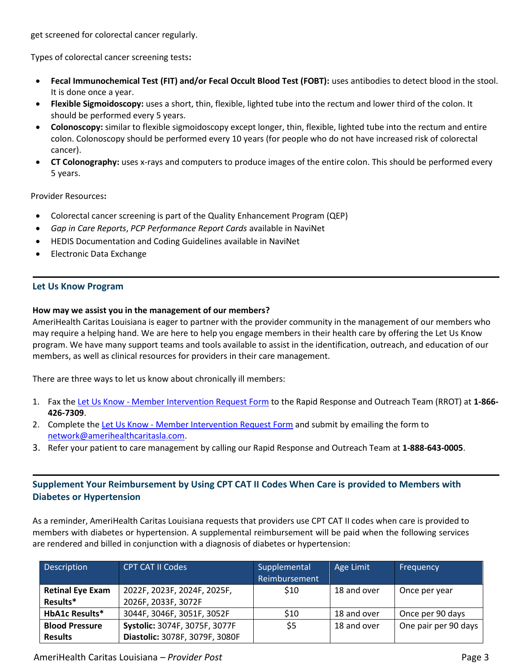get screened for colorectal cancer regularly.

Types of colorectal cancer screening tests**:**

- **Fecal Immunochemical Test (FIT) and/or Fecal Occult Blood Test (FOBT):** uses antibodies to detect blood in the stool. It is done once a year.
- **Flexible Sigmoidoscopy:** uses a short, thin, flexible, lighted tube into the rectum and lower third of the colon. It should be performed every 5 years.
- **Colonoscopy:** similar to flexible sigmoidoscopy except longer, thin, flexible, lighted tube into the rectum and entire colon. Colonoscopy should be performed every 10 years (for people who do not have increased risk of colorectal cancer).
- **CT Colonography:** uses x-rays and computers to produce images of the entire colon. This should be performed every 5 years.

Provider Resources**:**

- Colorectal cancer screening is part of the Quality Enhancement Program (QEP)
- *Gap in Care Reports*, *PCP Performance Report Cards* available in NaviNet
- HEDIS Documentation and Coding Guidelines available in NaviNet
- Electronic Data Exchange

## **Let Us Know Program**

#### **How may we assist you in the management of our members?**

AmeriHealth Caritas Louisiana is eager to partner with the provider community in the management of our members who may require a helping hand. We are here to help you engage members in their health care by offering the Let Us Know program. We have many support teams and tools available to assist in the identification, outreach, and education of our members, as well as clinical resources for providers in their care management.

There are three ways to let us know about chronically ill members:

- 1. Fax the Let Us Know [Member Intervention Request Form](https://www.amerihealthcaritasla.com/pdf/provider/resources/forms/member-intervention-request-form.pdf) to the Rapid Response and Outreach Team (RROT) at **1-866- 426-7309**.
- 2. Complete the Let Us Know [Member Intervention Request Form](https://www.amerihealthcaritasla.com/pdf/provider/resources/forms/member-intervention-request-form.pdf) and submit by emailing the form to [network@amerihealthcaritasla.com.](network@amerihealthcaritasla.com)
- 3. Refer your patient to care management by calling our Rapid Response and Outreach Team at **1-888-643-0005**.

# **Supplement Your Reimbursement by Using CPT CAT II Codes When Care is provided to Members with Diabetes or Hypertension**

As a reminder, AmeriHealth Caritas Louisiana requests that providers use CPT CAT II codes when care is provided to members with diabetes or hypertension. A supplemental reimbursement will be paid when the following services are rendered and billed in conjunction with a diagnosis of diabetes or hypertension:

| Description             | <b>CPT CAT II Codes</b>        | Supplemental  | Age Limit   | Frequency            |
|-------------------------|--------------------------------|---------------|-------------|----------------------|
|                         |                                | Reimbursement |             |                      |
| <b>Retinal Eye Exam</b> | 2022F, 2023F, 2024F, 2025F,    | \$10          | 18 and over | Once per year        |
| Results*                | 2026F, 2033F, 3072F            |               |             |                      |
| <b>HbA1c Results*</b>   | 3044F, 3046F, 3051F, 3052F     | \$10          | 18 and over | Once per 90 days     |
| <b>Blood Pressure</b>   | Systolic: 3074F, 3075F, 3077F  | \$5           | 18 and over | One pair per 90 days |
| <b>Results</b>          | Diastolic: 3078F, 3079F, 3080F |               |             |                      |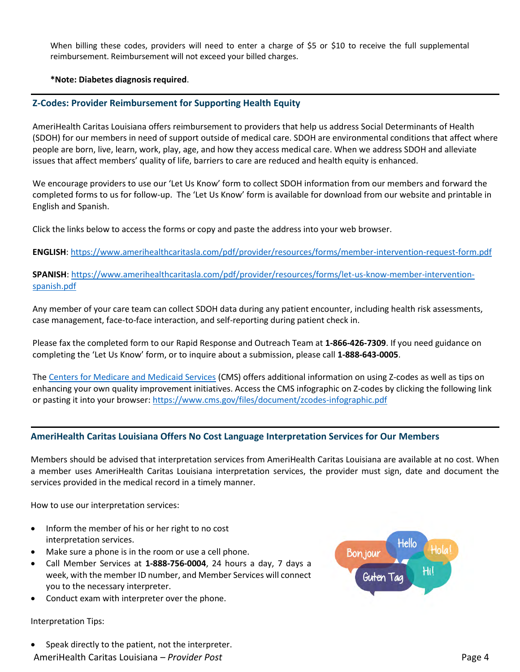When billing these codes, providers will need to enter a charge of \$5 or \$10 to receive the full supplemental reimbursement. Reimbursement will not exceed your billed charges.

#### **\*Note: Diabetes diagnosis required**.

#### **Z-Codes: Provider Reimbursement for Supporting Health Equity**

AmeriHealth Caritas Louisiana offers reimbursement to providers that help us address Social Determinants of Health (SDOH) for our members in need of support outside of medical care. SDOH are environmental conditions that affect where people are born, live, learn, work, play, age, and how they access medical care. When we address SDOH and alleviate issues that affect members' quality of life, barriers to care are reduced and health equity is enhanced.

We encourage providers to use our 'Let Us Know' form to collect SDOH information from our members and forward the completed forms to us for follow-up. The 'Let Us Know' form is available for download from our website and printable in English and Spanish.

Click the links below to access the forms or copy and paste the address into your web browser.

**ENGLISH**:<https://www.amerihealthcaritasla.com/pdf/provider/resources/forms/member-intervention-request-form.pdf>

**SPANISH**: [https://www.amerihealthcaritasla.com/pdf/provider/resources/forms/let-us-know-member-intervention](https://www.amerihealthcaritasla.com/pdf/provider/resources/forms/let-us-know-member-intervention-spanish.pdf)[spanish.pdf](https://www.amerihealthcaritasla.com/pdf/provider/resources/forms/let-us-know-member-intervention-spanish.pdf)

Any member of your care team can collect SDOH data during any patient encounter, including health risk assessments, case management, face-to-face interaction, and self-reporting during patient check in.

Please fax the completed form to our Rapid Response and Outreach Team at **1-866-426-7309**. If you need guidance on completing the 'Let Us Know' form, or to inquire about a submission, please call **1-888-643-0005**.

Th[e Centers for Medicare and Medicaid Services](https://www.cms.gov/medicare/icd-10/2022-icd-10-cm) (CMS) offers additional information on using Z-codes as well as tips on enhancing your own quality improvement initiatives. Access the CMS infographic on Z-codes by clicking the following link or pasting it into your browser: <https://www.cms.gov/files/document/zcodes-infographic.pdf>

# **AmeriHealth Caritas Louisiana Offers No Cost Language Interpretation Services for Our Members**

Members should be advised that interpretation services from AmeriHealth Caritas Louisiana are available at no cost. When a member uses AmeriHealth Caritas Louisiana interpretation services, the provider must sign, date and document the services provided in the medical record in a timely manner.

How to use our interpretation services:

- Inform the member of his or her right to no cost interpretation services.
- Make sure a phone is in the room or use a cell phone.
- Call Member Services at **1-888-756-0004**, 24 hours a day, 7 days a week, with the member ID number, and Member Services will connect you to the necessary interpreter.
- Conduct exam with interpreter over the phone.

#### Interpretation Tips:

AmeriHealth Caritas Louisiana – *Provider Post* Page 4 Speak directly to the patient, not the interpreter.